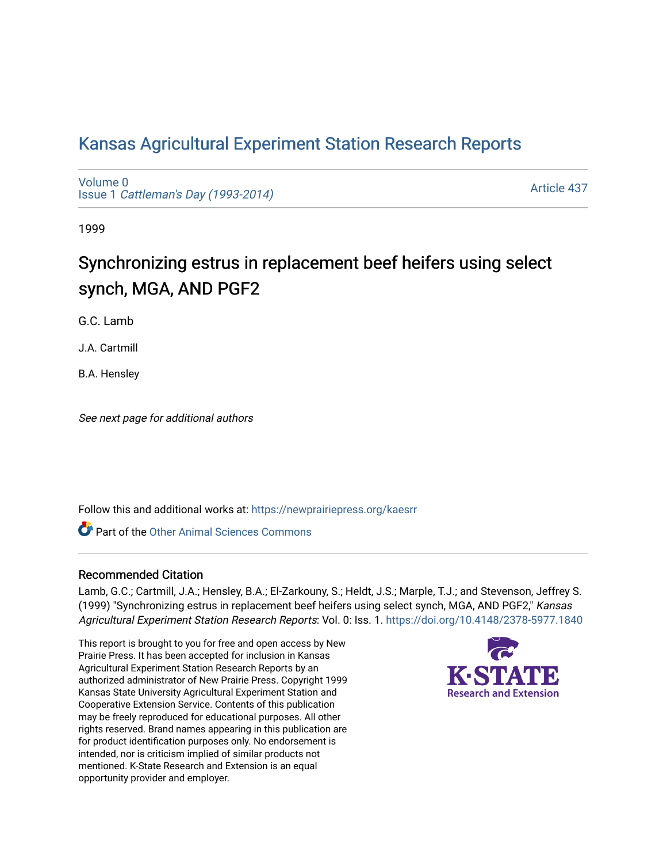# [Kansas Agricultural Experiment Station Research Reports](https://newprairiepress.org/kaesrr)

[Volume 0](https://newprairiepress.org/kaesrr/vol0) Issue 1 [Cattleman's Day \(1993-2014\)](https://newprairiepress.org/kaesrr/vol0/iss1) 

[Article 437](https://newprairiepress.org/kaesrr/vol0/iss1/437) 

1999

# Synchronizing estrus in replacement beef heifers using select synch, MGA, AND PGF2

G.C. Lamb

J.A. Cartmill

B.A. Hensley

See next page for additional authors

Follow this and additional works at: [https://newprairiepress.org/kaesrr](https://newprairiepress.org/kaesrr?utm_source=newprairiepress.org%2Fkaesrr%2Fvol0%2Fiss1%2F437&utm_medium=PDF&utm_campaign=PDFCoverPages) 

**C** Part of the [Other Animal Sciences Commons](http://network.bepress.com/hgg/discipline/82?utm_source=newprairiepress.org%2Fkaesrr%2Fvol0%2Fiss1%2F437&utm_medium=PDF&utm_campaign=PDFCoverPages)

#### Recommended Citation

Lamb, G.C.; Cartmill, J.A.; Hensley, B.A.; El-Zarkouny, S.; Heldt, J.S.; Marple, T.J.; and Stevenson, Jeffrey S. (1999) "Synchronizing estrus in replacement beef heifers using select synch, MGA, AND PGF2," Kansas Agricultural Experiment Station Research Reports: Vol. 0: Iss. 1.<https://doi.org/10.4148/2378-5977.1840>

This report is brought to you for free and open access by New Prairie Press. It has been accepted for inclusion in Kansas Agricultural Experiment Station Research Reports by an authorized administrator of New Prairie Press. Copyright 1999 Kansas State University Agricultural Experiment Station and Cooperative Extension Service. Contents of this publication may be freely reproduced for educational purposes. All other rights reserved. Brand names appearing in this publication are for product identification purposes only. No endorsement is intended, nor is criticism implied of similar products not mentioned. K-State Research and Extension is an equal opportunity provider and employer.

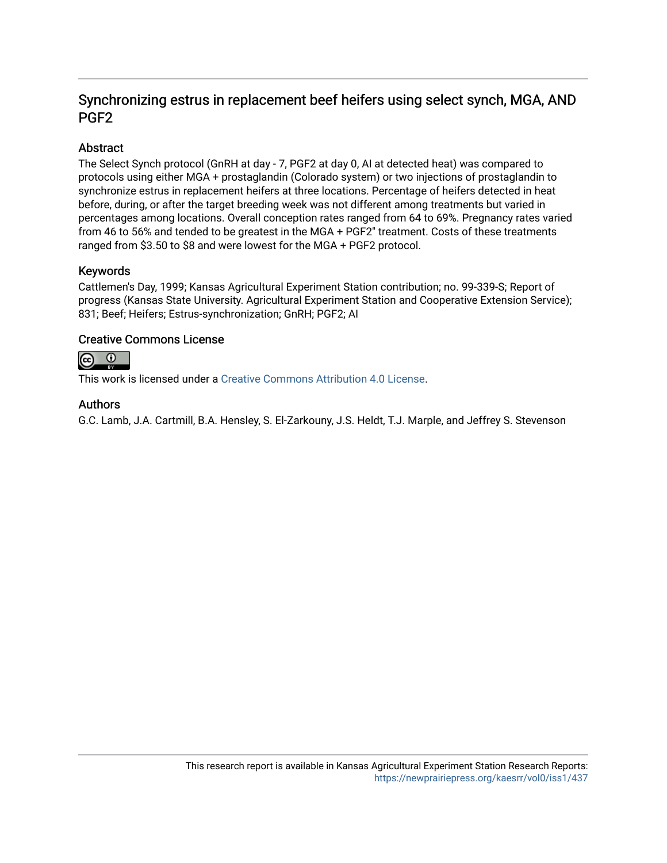# Synchronizing estrus in replacement beef heifers using select synch, MGA, AND PGF2

## Abstract

The Select Synch protocol (GnRH at day - 7, PGF2 at day 0, AI at detected heat) was compared to protocols using either MGA + prostaglandin (Colorado system) or two injections of prostaglandin to synchronize estrus in replacement heifers at three locations. Percentage of heifers detected in heat before, during, or after the target breeding week was not different among treatments but varied in percentages among locations. Overall conception rates ranged from 64 to 69%. Pregnancy rates varied from 46 to 56% and tended to be greatest in the MGA + PGF2" treatment. Costs of these treatments ranged from \$3.50 to \$8 and were lowest for the MGA + PGF2 protocol.

## Keywords

Cattlemen's Day, 1999; Kansas Agricultural Experiment Station contribution; no. 99-339-S; Report of progress (Kansas State University. Agricultural Experiment Station and Cooperative Extension Service); 831; Beef; Heifers; Estrus-synchronization; GnRH; PGF2; AI

## Creative Commons License



This work is licensed under a [Creative Commons Attribution 4.0 License](https://creativecommons.org/licenses/by/4.0/).

## Authors

G.C. Lamb, J.A. Cartmill, B.A. Hensley, S. El-Zarkouny, J.S. Heldt, T.J. Marple, and Jeffrey S. Stevenson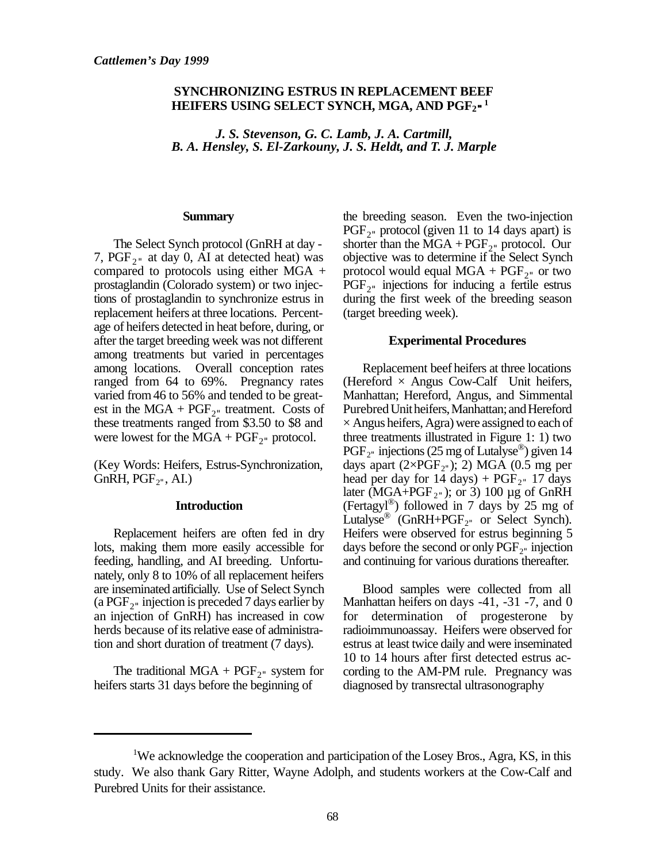## **SYNCHRONIZING ESTRUS IN REPLACEMENT BEEF HEIFERS USING SELECT SYNCH, MGA, AND PGF<sup>2</sup>" 1**

*J. S. Stevenson, G. C. Lamb, J. A. Cartmill, B. A. Hensley, S. El-Zarkouny, J. S. Heldt, and T. J. Marple*

#### **Summary**

The Select Synch protocol (GnRH at day - 7,  $PGF_{2}$ " at day 0, AI at detected heat) was compared to protocols using either MGA + prostaglandin (Colorado system) or two injections of prostaglandin to synchronize estrus in replacement heifers at three locations. Percentage of heifers detected in heat before, during, or after the target breeding week was not different among treatments but varied in percentages among locations. Overall conception rates ranged from 64 to 69%. Pregnancy rates varied from 46 to 56% and tended to be greatest in the  $MGA + PGF_{2}$  treatment. Costs of these treatments ranged from \$3.50 to \$8 and were lowest for the  $MGA + PGF_{2}$ <sup>n</sup> protocol.

(Key Words: Heifers, Estrus-Synchronization,  $GnRH, PGF<sub>2</sub><sup>n</sup>, AI.)$ 

#### **Introduction**

Replacement heifers are often fed in dry lots, making them more easily accessible for feeding, handling, and AI breeding. Unfortunately, only 8 to 10% of all replacement heifers are inseminated artificially. Use of Select Synch (a  $PGF_2$ <sup>n</sup> injection is preceded 7 days earlier by an injection of GnRH) has increased in cow herds because of its relative ease of administration and short duration of treatment (7 days).

The traditional  $MGA + PGF_{2}$ <sup>"</sup> system for heifers starts 31 days before the beginning of

the breeding season. Even the two-injection  $PGF_{2}$ <sup>n</sup> protocol (given 11 to 14 days apart) is shorter than the  $\text{MGA} + \text{PGF}_{2}$  protocol. Our objective was to determine if the Select Synch protocol would equal  $\text{MGA} + \text{PGF}_{2}$ " or two PGF<sub>2</sub><sup>"</sup> injections for inducing a fertile estrus during the first week of the breeding season (target breeding week).

#### **Experimental Procedures**

Replacement beef heifers at three locations (Hereford  $\times$  Angus Cow-Calf Unit heifers, Manhattan; Hereford, Angus, and Simmental Purebred Unit heifers, Manhattan; and Hereford  $\times$  Angus heifers, Agra) were assigned to each of three treatments illustrated in Figure 1: 1) two  $PGF_{2}$  injections (25 mg of Lutalyse®) given 14 days apart  $(2\times PGF_{2}$ "); 2) MGA (0.5 mg per head per day for  $14 \text{ days}$ ) +  $PGF_{2}$ " 17 days later (MGA+PGF<sub>2"</sub>); or 3) 100  $\mu$ g of GnRH (Fertagyl®) followed in 7 days by 25 mg of Lutalyse<sup>®</sup> (GnRH+PGF<sub>2"</sub> or Select Synch). Heifers were observed for estrus beginning 5 days before the second or only  $PGF_{2}$  injection and continuing for various durations thereafter.

Blood samples were collected from all Manhattan heifers on days -41, -31 -7, and 0 for determination of progesterone by radioimmunoassay. Heifers were observed for estrus at least twice daily and were inseminated 10 to 14 hours after first detected estrus according to the AM-PM rule. Pregnancy was diagnosed by transrectal ultrasonography

<sup>&</sup>lt;sup>1</sup>We acknowledge the cooperation and participation of the Losey Bros., Agra, KS, in this study. We also thank Gary Ritter, Wayne Adolph, and students workers at the Cow-Calf and Purebred Units for their assistance.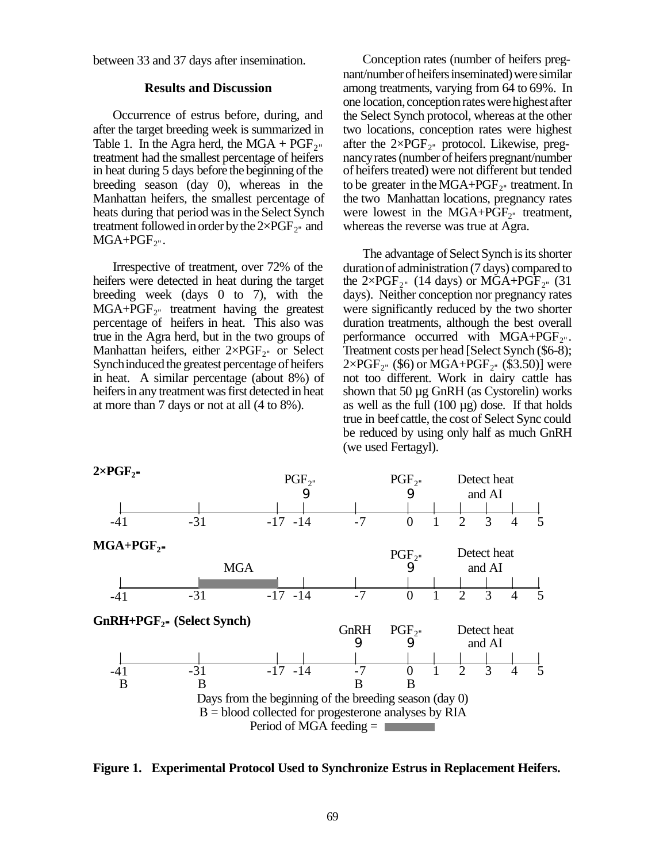between 33 and 37 days after insemination.

#### **Results and Discussion**

Occurrence of estrus before, during, and after the target breeding week is summarized in Table 1. In the Agra herd, the MGA +  $PGF_{2}$ " treatment had the smallest percentage of heifers in heat during 5 days before the beginning of the breeding season (day 0), whereas in the Manhattan heifers, the smallest percentage of heats during that period was in the Select Synch treatment followed in order by the  $2\times PGF_{2}$ <sup>"</sup> and  $MGA + PGF_{2}$ ".

Irrespective of treatment, over 72% of the heifers were detected in heat during the target breeding week (days 0 to 7), with the  $MGA+PGF<sub>2</sub>$  treatment having the greatest percentage of heifers in heat. This also was true in the Agra herd, but in the two groups of Manhattan heifers, either  $2 \times PGF_{2}$  or Select Synch induced the greatest percentage of heifers in heat. A similar percentage (about 8%) of heifers in any treatment was first detected in heat at more than 7 days or not at all (4 to 8%).

Conception rates (number of heifers pregnant/number of heifers inseminated) were similar among treatments, varying from 64 to 69%. In one location, conception rates were highest after the Select Synch protocol, whereas at the other two locations, conception rates were highest after the  $2\times PGF_{2}$  protocol. Likewise, pregnancy rates (number of heifers pregnant/number of heifers treated) were not different but tended to be greater in the  $MGA+PGF_{2}$  treatment. In the two Manhattan locations, pregnancy rates were lowest in the  $MGA + PGF<sub>2</sub>$  treatment, whereas the reverse was true at Agra.

The advantage of Select Synch is its shorter duration of administration (7 days) compared to the  $2\times PGF_{2}$ " (14 days) or MGA+PGF<sub>2</sub>" (31) days). Neither conception nor pregnancy rates were significantly reduced by the two shorter duration treatments, although the best overall performance occurred with  $MGA+PGF_{2}$ ". Treatment costs per head [Select Synch (\$6-8);  $2\times \mathrm{PGF}_{2^{\mathrm{u}}}$  (\$6) or MGA+PGF<sub>2"</sub> (\$3.50)] were not too different. Work in dairy cattle has shown that 50 µg GnRH (as Cystorelin) works as well as the full  $(100 \mu g)$  dose. If that holds true in beef cattle, the cost of Select Sync could be reduced by using only half as much GnRH (we used Fertagyl).